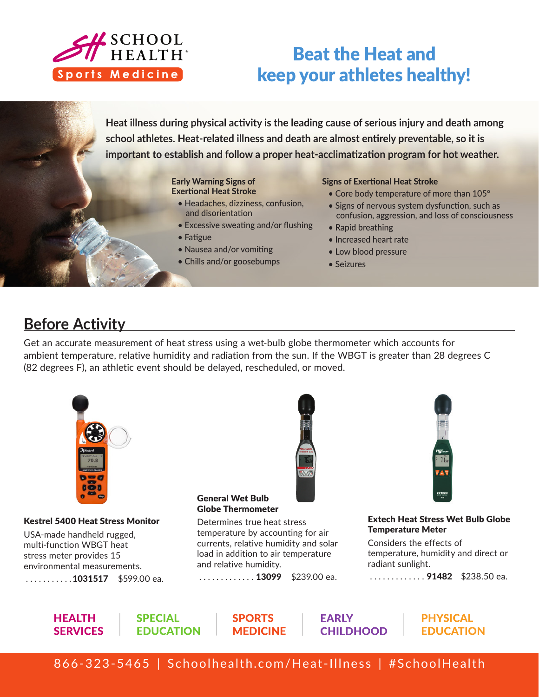

# Beat the Heat and keep your athletes healthy!

**Heat illness during physical activity is the leading cause of serious injury and death among school athletes. Heat-related illness and death are almost entirely preventable, so it is important to establish and follow a proper heat-acclimatization program for hot weather.** 

#### Early Warning Signs of Exertional Heat Stroke

- Headaches, dizziness, confusion, and disorientation
- Excessive sweating and/or flushing
- Fatigue
- Nausea and/or vomiting
- Chills and/or goosebumps

#### Signs of Exertional Heat Stroke

- Core body temperature of more than 105°
- Signs of nervous system dysfunction, such as confusion, aggression, and loss of consciousness
- Rapid breathing
- Increased heart rate
- Low blood pressure
- Seizures

# **Before Activity**

Get an accurate measurement of heat stress using a wet-bulb globe thermometer which accounts for ambient temperature, relative humidity and radiation from the sun. If the WBGT is greater than 28 degrees C (82 degrees F), an athletic event should be delayed, rescheduled, or moved.



#### Kestrel 5400 Heat Stress Monitor

USA-made handheld rugged, multi-function WBGT heat stress meter provides 15 environmental measurements.

 $\ldots \ldots \ldots \ldots 1031517$  \$599.00 ea.



#### General Wet Bulb Globe Thermometer

Determines true heat stress temperature by accounting for air currents, relative humidity and solar load in addition to air temperature and relative humidity.

............. **13099** \$239.00 ea.



Extech Heat Stress Wet Bulb Globe Temperature Meter

Considers the effects of temperature, humidity and direct or radiant sunlight.

............. 91482 \$238.50 ea.

**HEALTH SERVICES**  **SPECIAL FDUCATION** 

**SPORTS MEDICINE**  **EARLY CHILDHOOD** 

**PHYSICAL EDUCATION** 

866-323-5465 | Schoolhealth.com/Heat-Illness | #SchoolHealth